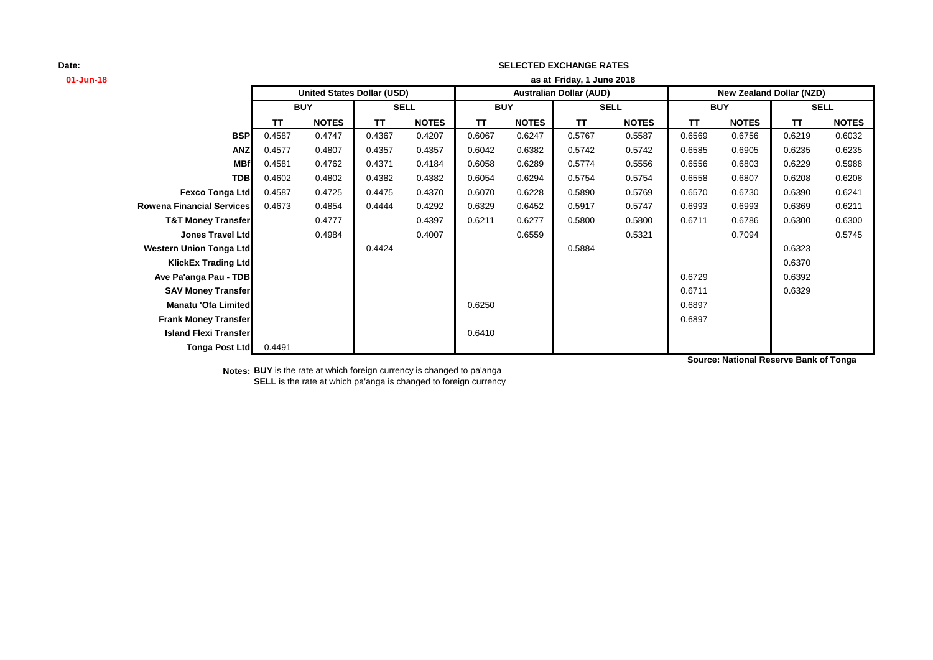# **01-Jun-18 as at TT NOTES TT NOTES TT NOTES TT NOTES TT NOTES TT NOTES BSP** 0.4587 0.4747 0.4367 0.4207 0.6067 0.6247 0.5767 0.5587 0.6569 0.6756 0.6219 0.6032 **ANZ** 0.4577 0.4807 0.4357 0.4357 0.6042 0.6382 0.5742 0.5742 0.6585 0.6905 0.6235 0.6235 **MBf** 0.4581 0.4762 0.4371 0.4184 0.6058 0.6289 0.5774 0.5556 0.6556 0.6803 0.6229 0.5988 **TDB** 0.4602 0.4802 0.4382 0.4382 0.6054 0.6294 0.5754 0.5754 0.6558 0.6807 0.6208 0.6208 **Fexco Tonga Ltd** 0.4587 0.4725 0.4475 0.4370 0.6070 0.6228 0.5890 0.5769 0.6570 0.6730 0.6390 0.6241 **Rowena Financial Services** 0.4673 0.4854 0.4444 0.4292 0.6329 0.6452 0.5917 0.5747 0.6993 0.6993 0.6369 0.6211 **T&T Money Transfer 1888** 0.4777 **1** 0.4397 0.6211 0.6277 0.5800 0.5800 0.6711 0.6786 0.6300 0.6300 **Jones Travel Ltd** 0.4984 0.4007 0.6559 0.5321 0.7094 0.5745 **Western Union Tonga Ltd** 0.4424 0.5884 0.6323 **KlickEx Trading Ltd** 0.6370 **Ave Pa'anga Pau - TDB** 0.6392 **SAV Money Transfer** 0.6711 0.6329 **Manatu 'Ofa Limited** 0.6897 **Frank Money Transfer** 0.6897 **Island Flexi Transfer 1 2.6410 1.6410 1.6410 1.6410 Tonga Post Ltd** 0.4491 **SELL United States Dollar (USD) Australian Dollar (AUD) New Zealand Dollar (NZD) BUY SELL BUY SELL BUY Friday, 1 June 2018**

**SELECTED EXCHANGE RATES**

**Notes: BUY** is the rate at which foreign currency is changed to pa'anga **SELL** is the rate at which pa'anga is changed to foreign currency **Source: National Reserve Bank of Tonga**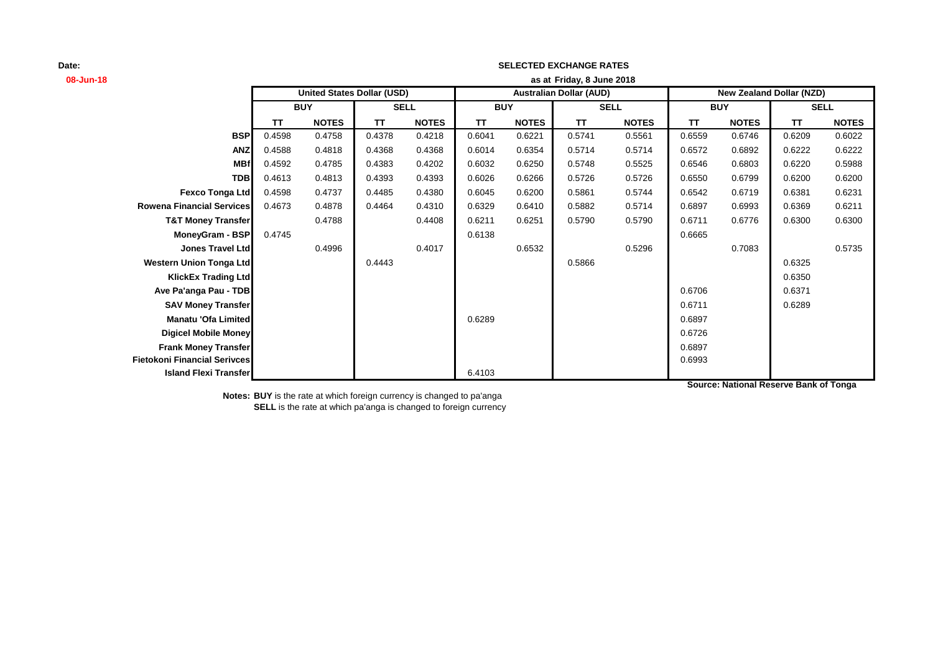# **08-Jun-18 as at TT NOTES TT NOTES TT NOTES TT NOTES TT NOTES TT NOTES BSP** 0.4598 0.4758 0.4378 0.4218 0.6041 0.6221 0.5741 0.5561 0.6559 0.6746 0.6209 0.6022 **ANZ** 0.4588 0.4818 0.4368 0.4368 0.6014 0.6354 0.5714 0.5714 0.6572 0.6892 0.6222 0.6222 **MBf** 0.4592 0.4785 0.4383 0.4202 0.6032 0.6250 0.5748 0.5525 0.6546 0.6803 0.6220 0.5988 **TDB** 0.4613 0.4813 0.4393 0.4393 0.6026 0.6266 0.5726 0.5726 0.6550 0.6799 0.6200 0.6200 **Fexco Tonga Ltd** 0.4598 0.4737 0.4485 0.4380 0.6045 0.6200 0.5861 0.5744 0.6542 0.6719 0.6381 0.6231 **Rowena Financial Services** 0.4673 0.4878 0.4464 0.4310 0.6329 0.6410 0.5882 0.5714 0.6897 0.6993 0.6369 0.6211 **T&T Money Transfer 0.4788 0.4408 0.6211 0.6251 0.5790 0.6790 0.6711 0.6776 0.6300 0.6300 MoneyGram - BSP** 0.4745 0.6665 **0.6138** 0.66138 0.6665 0.6665 **Jones Travel Ltd** 0.4996 0.4017 0.6532 0.5296 0.7083 0.5735 **Western Union Tonga Ltd** 0.4443 0.5866 0.6325 **KlickEx Trading Ltd** 0.6350 **Ave Pa'anga Pau - TDB** 0.6371 **SAV Money Transfer** 0.6711 0.6289 **Manatu 'Ofa Limited** 0.6289 0.6897 **Digicel Mobile Money** 0.6726 **Frank Money Transfer** 2.6897 **Fietokoni Financial Serivces** 0.6993 **Island Flexi Transfer 1 All 2003 Contract Contract Contract Contract Contract Contract Contract Contract Contract Contract Contract Contract Contract Contract Contract Contract Contract Contract Contract Contract Cont SELL United States Dollar (USD) Australian Dollar (AUD) New Zealand Dollar (NZD) BUY SELL BUY SELL BUY Friday, 8 June 2018**

**SELECTED EXCHANGE RATES**

**Source: National Reserve Bank of Tonga**

**Notes: BUY** is the rate at which foreign currency is changed to pa'anga **SELL** is the rate at which pa'anga is changed to foreign currency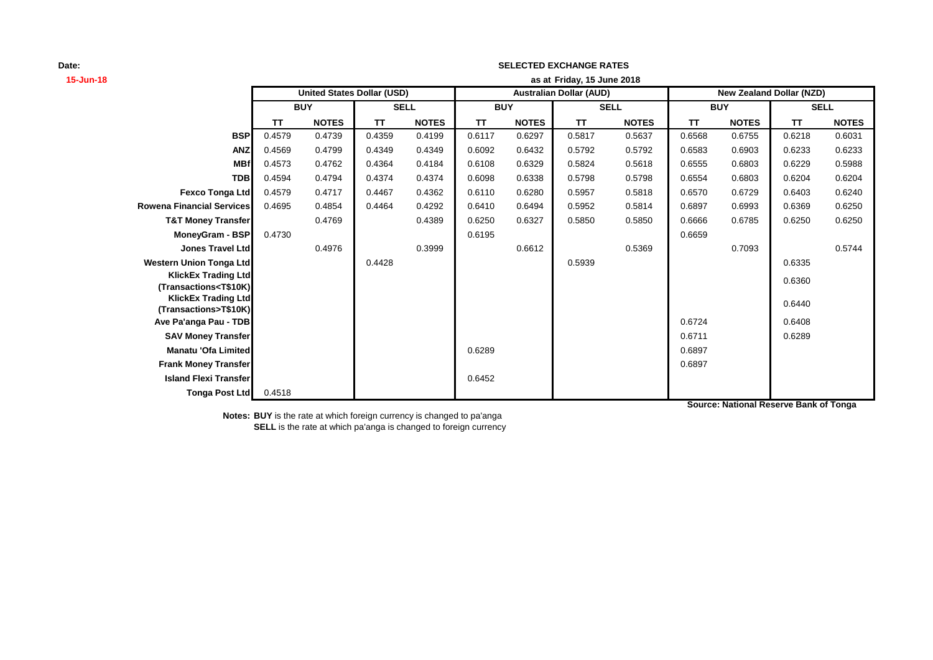| 15-Jun-18                                                                                                                                             | as at Friday, 15 June 2018 |                                   |             |              |                                |              |             |              |                                 |              |             |              |
|-------------------------------------------------------------------------------------------------------------------------------------------------------|----------------------------|-----------------------------------|-------------|--------------|--------------------------------|--------------|-------------|--------------|---------------------------------|--------------|-------------|--------------|
|                                                                                                                                                       |                            | <b>United States Dollar (USD)</b> |             |              | <b>Australian Dollar (AUD)</b> |              |             |              | <b>New Zealand Dollar (NZD)</b> |              |             |              |
|                                                                                                                                                       | <b>BUY</b>                 |                                   | <b>SELL</b> |              | <b>BUY</b>                     |              | <b>SELL</b> |              | <b>BUY</b>                      |              | <b>SELL</b> |              |
|                                                                                                                                                       | <b>TT</b>                  | <b>NOTES</b>                      | <b>TT</b>   | <b>NOTES</b> | TT                             | <b>NOTES</b> | TΤ          | <b>NOTES</b> | TΤ                              | <b>NOTES</b> | TΤ          | <b>NOTES</b> |
| <b>BSP</b>                                                                                                                                            | 0.4579                     | 0.4739                            | 0.4359      | 0.4199       | 0.6117                         | 0.6297       | 0.5817      | 0.5637       | 0.6568                          | 0.6755       | 0.6218      | 0.6031       |
| <b>ANZ</b>                                                                                                                                            | 0.4569                     | 0.4799                            | 0.4349      | 0.4349       | 0.6092                         | 0.6432       | 0.5792      | 0.5792       | 0.6583                          | 0.6903       | 0.6233      | 0.6233       |
| <b>MBf</b>                                                                                                                                            | 0.4573                     | 0.4762                            | 0.4364      | 0.4184       | 0.6108                         | 0.6329       | 0.5824      | 0.5618       | 0.6555                          | 0.6803       | 0.6229      | 0.5988       |
| <b>TDB</b>                                                                                                                                            | 0.4594                     | 0.4794                            | 0.4374      | 0.4374       | 0.6098                         | 0.6338       | 0.5798      | 0.5798       | 0.6554                          | 0.6803       | 0.6204      | 0.6204       |
| Fexco Tonga Ltd                                                                                                                                       | 0.4579                     | 0.4717                            | 0.4467      | 0.4362       | 0.6110                         | 0.6280       | 0.5957      | 0.5818       | 0.6570                          | 0.6729       | 0.6403      | 0.6240       |
| <b>Rowena Financial Services</b>                                                                                                                      | 0.4695                     | 0.4854                            | 0.4464      | 0.4292       | 0.6410                         | 0.6494       | 0.5952      | 0.5814       | 0.6897                          | 0.6993       | 0.6369      | 0.6250       |
| <b>T&amp;T Money Transfer</b>                                                                                                                         |                            | 0.4769                            |             | 0.4389       | 0.6250                         | 0.6327       | 0.5850      | 0.5850       | 0.6666                          | 0.6785       | 0.6250      | 0.6250       |
| <b>MoneyGram - BSP</b>                                                                                                                                | 0.4730                     |                                   |             |              | 0.6195                         |              |             |              | 0.6659                          |              |             |              |
| <b>Jones Travel Ltd</b>                                                                                                                               |                            | 0.4976                            |             | 0.3999       |                                | 0.6612       |             | 0.5369       |                                 | 0.7093       |             | 0.5744       |
| <b>Western Union Tonga Ltd</b>                                                                                                                        |                            |                                   | 0.4428      |              |                                |              | 0.5939      |              |                                 |              | 0.6335      |              |
| <b>KlickEx Trading Ltd</b>                                                                                                                            |                            |                                   |             |              |                                |              |             |              |                                 |              | 0.6360      |              |
| (Transactions <t\$10k)< th=""><th></th><th></th><th></th><th></th><th></th><th></th><th></th><th></th><th></th><th></th><th></th><th></th></t\$10k)<> |                            |                                   |             |              |                                |              |             |              |                                 |              |             |              |
| <b>KlickEx Trading Ltd</b><br>(Transactions>T\$10K)                                                                                                   |                            |                                   |             |              |                                |              |             |              |                                 |              | 0.6440      |              |
| Ave Pa'anga Pau - TDB                                                                                                                                 |                            |                                   |             |              |                                |              |             |              | 0.6724                          |              | 0.6408      |              |
| <b>SAV Money Transfer</b>                                                                                                                             |                            |                                   |             |              |                                |              |             |              | 0.6711                          |              | 0.6289      |              |
| <b>Manatu 'Ofa Limited</b>                                                                                                                            |                            |                                   |             |              | 0.6289                         |              |             |              | 0.6897                          |              |             |              |
| <b>Frank Money Transfer</b>                                                                                                                           |                            |                                   |             |              |                                |              |             |              | 0.6897                          |              |             |              |
| <b>Island Flexi Transfer</b>                                                                                                                          |                            |                                   |             |              | 0.6452                         |              |             |              |                                 |              |             |              |
| Tonga Post Ltd                                                                                                                                        | 0.4518                     |                                   |             |              |                                |              |             |              |                                 |              |             |              |

**SELECTED EXCHANGE RATES**

**Source: National Reserve Bank of Tonga**

**Notes: BUY** is the rate at which foreign currency is changed to pa'anga **SELL** is the rate at which pa'anga is changed to foreign currency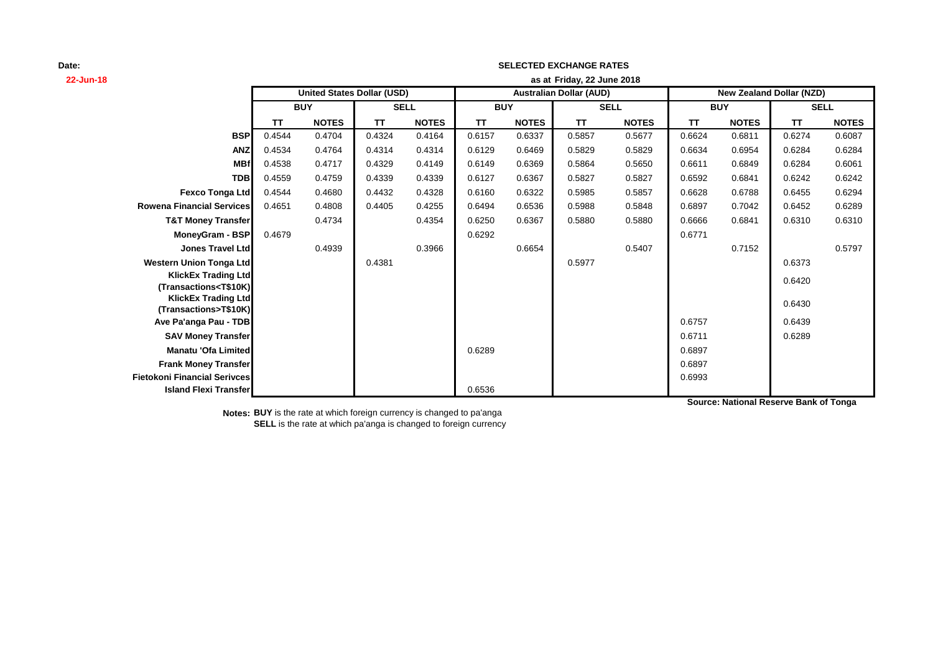| 22-Jun-18                                                                                                                                             | as at Friday, 22 June 2018 |                                   |           |              |            |              |                                |              |           |              |                                 |              |
|-------------------------------------------------------------------------------------------------------------------------------------------------------|----------------------------|-----------------------------------|-----------|--------------|------------|--------------|--------------------------------|--------------|-----------|--------------|---------------------------------|--------------|
|                                                                                                                                                       |                            | <b>United States Dollar (USD)</b> |           |              |            |              | <b>Australian Dollar (AUD)</b> |              |           |              | <b>New Zealand Dollar (NZD)</b> |              |
|                                                                                                                                                       |                            | <b>BUY</b>                        |           | <b>SELL</b>  | <b>BUY</b> |              |                                | <b>SELL</b>  |           | <b>BUY</b>   | <b>SELL</b>                     |              |
|                                                                                                                                                       | <b>TT</b>                  | <b>NOTES</b>                      | <b>TT</b> | <b>NOTES</b> | TΤ         | <b>NOTES</b> | <b>TT</b>                      | <b>NOTES</b> | <b>TT</b> | <b>NOTES</b> | <b>TT</b>                       | <b>NOTES</b> |
| <b>BSP</b>                                                                                                                                            | 0.4544                     | 0.4704                            | 0.4324    | 0.4164       | 0.6157     | 0.6337       | 0.5857                         | 0.5677       | 0.6624    | 0.6811       | 0.6274                          | 0.6087       |
| <b>ANZ</b>                                                                                                                                            | 0.4534                     | 0.4764                            | 0.4314    | 0.4314       | 0.6129     | 0.6469       | 0.5829                         | 0.5829       | 0.6634    | 0.6954       | 0.6284                          | 0.6284       |
| <b>MBf</b>                                                                                                                                            | 0.4538                     | 0.4717                            | 0.4329    | 0.4149       | 0.6149     | 0.6369       | 0.5864                         | 0.5650       | 0.6611    | 0.6849       | 0.6284                          | 0.6061       |
| <b>TDB</b>                                                                                                                                            | 0.4559                     | 0.4759                            | 0.4339    | 0.4339       | 0.6127     | 0.6367       | 0.5827                         | 0.5827       | 0.6592    | 0.6841       | 0.6242                          | 0.6242       |
| <b>Fexco Tonga Ltd</b>                                                                                                                                | 0.4544                     | 0.4680                            | 0.4432    | 0.4328       | 0.6160     | 0.6322       | 0.5985                         | 0.5857       | 0.6628    | 0.6788       | 0.6455                          | 0.6294       |
| <b>Rowena Financial Services</b>                                                                                                                      | 0.4651                     | 0.4808                            | 0.4405    | 0.4255       | 0.6494     | 0.6536       | 0.5988                         | 0.5848       | 0.6897    | 0.7042       | 0.6452                          | 0.6289       |
| <b>T&amp;T Money Transfer</b>                                                                                                                         |                            | 0.4734                            |           | 0.4354       | 0.6250     | 0.6367       | 0.5880                         | 0.5880       | 0.6666    | 0.6841       | 0.6310                          | 0.6310       |
| MoneyGram - BSP                                                                                                                                       | 0.4679                     |                                   |           |              | 0.6292     |              |                                |              | 0.6771    |              |                                 |              |
| <b>Jones Travel Ltd</b>                                                                                                                               |                            | 0.4939                            |           | 0.3966       |            | 0.6654       |                                | 0.5407       |           | 0.7152       |                                 | 0.5797       |
| <b>Western Union Tonga Ltd</b>                                                                                                                        |                            |                                   | 0.4381    |              |            |              | 0.5977                         |              |           |              | 0.6373                          |              |
| <b>KlickEx Trading Ltd</b>                                                                                                                            |                            |                                   |           |              |            |              |                                |              |           |              | 0.6420                          |              |
| (Transactions <t\$10k)< th=""><th></th><th></th><th></th><th></th><th></th><th></th><th></th><th></th><th></th><th></th><th></th><th></th></t\$10k)<> |                            |                                   |           |              |            |              |                                |              |           |              |                                 |              |
| <b>KlickEx Trading Ltd</b><br>(Transactions>T\$10K)                                                                                                   |                            |                                   |           |              |            |              |                                |              |           |              | 0.6430                          |              |
| Ave Pa'anga Pau - TDB                                                                                                                                 |                            |                                   |           |              |            |              |                                |              | 0.6757    |              | 0.6439                          |              |
| <b>SAV Money Transfer</b>                                                                                                                             |                            |                                   |           |              |            |              |                                |              | 0.6711    |              | 0.6289                          |              |
| <b>Manatu 'Ofa Limited</b>                                                                                                                            |                            |                                   |           |              | 0.6289     |              |                                |              | 0.6897    |              |                                 |              |
| <b>Frank Money Transfer</b>                                                                                                                           |                            |                                   |           |              |            |              |                                |              | 0.6897    |              |                                 |              |
| <b>Fietokoni Financial Serivces</b>                                                                                                                   |                            |                                   |           |              |            |              |                                |              | 0.6993    |              |                                 |              |
| <b>Island Flexi Transfer</b>                                                                                                                          |                            |                                   |           |              | 0.6536     |              |                                |              |           |              |                                 |              |

**SELECTED EXCHANGE RATES**

**Source: National Reserve Bank of Tonga**

**Notes: BUY** is the rate at which foreign currency is changed to pa'anga **SELL** is the rate at which pa'anga is changed to foreign currency